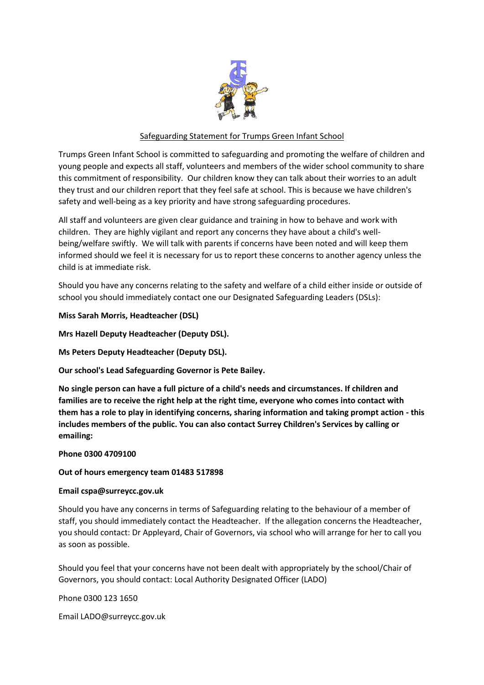

# Safeguarding Statement for Trumps Green Infant School

Trumps Green Infant School is committed to safeguarding and promoting the welfare of children and young people and expects all staff, volunteers and members of the wider school community to share this commitment of responsibility. Our children know they can talk about their worries to an adult they trust and our children report that they feel safe at school. This is because we have children's safety and well-being as a key priority and have strong safeguarding procedures.

All staff and volunteers are given clear guidance and training in how to behave and work with children. They are highly vigilant and report any concerns they have about a child's wellbeing/welfare swiftly. We will talk with parents if concerns have been noted and will keep them informed should we feel it is necessary for us to report these concerns to another agency unless the child is at immediate risk.

Should you have any concerns relating to the safety and welfare of a child either inside or outside of school you should immediately contact one our Designated Safeguarding Leaders (DSLs):

## **Miss Sarah Morris, Headteacher (DSL)**

**Mrs Hazell Deputy Headteacher (Deputy DSL).**

**Ms Peters Deputy Headteacher (Deputy DSL).**

**Our school's Lead Safeguarding Governor is Pete Bailey.**

**No single person can have a full picture of a child's needs and circumstances. If children and families are to receive the right help at the right time, everyone who comes into contact with them has a role to play in identifying concerns, sharing information and taking prompt action - this includes members of the public. You can also contact Surrey Children's Services by calling or emailing:**

#### **Phone 0300 4709100**

#### **Out of hours emergency team 01483 517898**

#### **Email cspa@surreycc.gov.uk**

Should you have any concerns in terms of Safeguarding relating to the behaviour of a member of staff, you should immediately contact the Headteacher. If the allegation concerns the Headteacher, you should contact: Dr Appleyard, Chair of Governors, via school who will arrange for her to call you as soon as possible.

Should you feel that your concerns have not been dealt with appropriately by the school/Chair of Governors, you should contact: Local Authority Designated Officer (LADO)

Phone 0300 123 1650

Email LADO@surreycc.gov.uk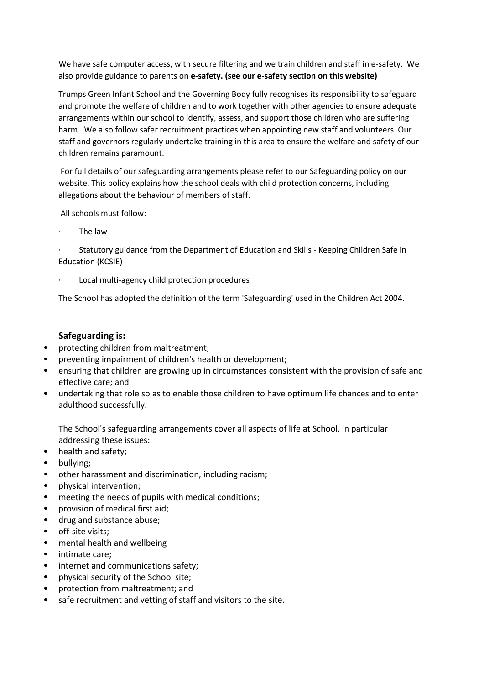We have safe computer access, with secure filtering and we train children and staff in e-safety. We also provide guidance to parents on **e-safety. (see our e-safety section on this website)**

Trumps Green Infant School and the Governing Body fully recognises its responsibility to safeguard and promote the welfare of children and to work together with other agencies to ensure adequate arrangements within our school to identify, assess, and support those children who are suffering harm. We also follow safer recruitment practices when appointing new staff and volunteers. Our staff and governors regularly undertake training in this area to ensure the welfare and safety of our children remains paramount.

For full details of our safeguarding arrangements please refer to our Safeguarding policy on our website. This policy explains how the school deals with child protection concerns, including allegations about the behaviour of members of staff.

All schools must follow:

· The law

Statutory guidance from the Department of Education and Skills - Keeping Children Safe in Education (KCSIE)

Local multi-agency child protection procedures

The School has adopted the definition of the term 'Safeguarding' used in the Children Act 2004.

# **Safeguarding is:**

- protecting children from maltreatment;
- preventing impairment of children's health or development;
- ensuring that children are growing up in circumstances consistent with the provision of safe and effective care; and
- undertaking that role so as to enable those children to have optimum life chances and to enter adulthood successfully.

The School's safeguarding arrangements cover all aspects of life at School, in particular addressing these issues:

- health and safety;
- bullying;
- other harassment and discrimination, including racism;
- physical intervention;
- meeting the needs of pupils with medical conditions;
- provision of medical first aid;
- drug and substance abuse;
- off-site visits:
- mental health and wellbeing
- intimate care;
- internet and communications safety;
- physical security of the School site;
- protection from maltreatment; and
- safe recruitment and vetting of staff and visitors to the site.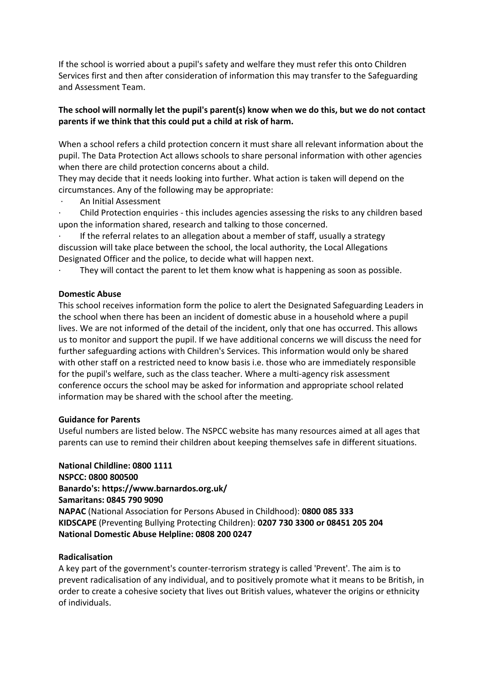If the school is worried about a pupil's safety and welfare they must refer this onto Children Services first and then after consideration of information this may transfer to the Safeguarding and Assessment Team.

## **The school will normally let the pupil's parent(s) know when we do this, but we do not contact parents if we think that this could put a child at risk of harm.**

When a school refers a child protection concern it must share all relevant information about the pupil. The Data Protection Act allows schools to share personal information with other agencies when there are child protection concerns about a child.

They may decide that it needs looking into further. What action is taken will depend on the circumstances. Any of the following may be appropriate:

· An Initial Assessment

· Child Protection enquiries - this includes agencies assessing the risks to any children based upon the information shared, research and talking to those concerned.

If the referral relates to an allegation about a member of staff, usually a strategy discussion will take place between the school, the local authority, the Local Allegations Designated Officer and the police, to decide what will happen next.

They will contact the parent to let them know what is happening as soon as possible.

## **Domestic Abuse**

This school receives information form the police to alert the Designated Safeguarding Leaders in the school when there has been an incident of domestic abuse in a household where a pupil lives. We are not informed of the detail of the incident, only that one has occurred. This allows us to monitor and support the pupil. If we have additional concerns we will discuss the need for further safeguarding actions with Children's Services. This information would only be shared with other staff on a restricted need to know basis i.e. those who are immediately responsible for the pupil's welfare, such as the class teacher. Where a multi-agency risk assessment conference occurs the school may be asked for information and appropriate school related information may be shared with the school after the meeting.

#### **Guidance for Parents**

Useful numbers are listed below. The NSPCC website has many resources aimed at all ages that parents can use to remind their children about keeping themselves safe in different situations.

**National [Childline:](http://www.childline.org.uk/Pages/Home.aspx) 0800 1111 [NSPCC:](http://www.nspcc.org.uk/) 0800 800500 Banardo's: https://www.barnardos.org.uk/ [Samaritans:](http://www.samaritans.org/) 0845 790 9090 [NAPAC](http://www.napac.org.uk/)** (National Association for Persons Abused in Childhood): **0800 085 333 [KIDSCAPE](http://www.kidscape.org.uk/)** (Preventing Bullying Protecting Children): **0207 730 3300 or 08451 205 204 National [Domestic](http://www.nationaldomesticviolencehelpline.org.uk/) Abuse Helpline: 0808 200 0247**

## **Radicalisation**

A key part of the government's counter-terrorism strategy is called 'Prevent'. The aim is to prevent radicalisation of any individual, and to positively promote what it means to be British, in order to create a cohesive society that lives out British values, whatever the origins or ethnicity of individuals.